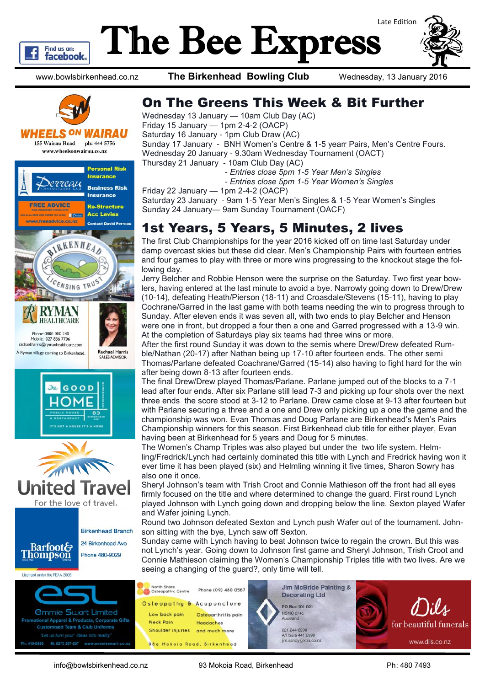

# The Bee Express Late Edition

www.bowlsbirkenhead.co.nz **The Birkenhead Bowling Club** Wednesday, 13 January 2016



WHEELS <sup>ON</sup> WAIRAU

**155 Wairau Road** ph: 444 5756 www.wheelsonwairau.co.nz









24 Birkenhead Ave

Phone 480-9029

Licensed under the REAA 2008



### On The Greens This Week & Bit Further

Wednesday 13 January — 10am Club Day (AC) Friday 15 January — 1pm 2-4-2 (OACP) Saturday 16 January - 1pm Club Draw (AC) Sunday 17 January - BNH Women's Centre & 1-5 yearr Pairs, Men's Centre Fours. Wednesday 20 January - 9.30am Wednesday Tournament (OACT) Thursday 21 January - 10am Club Day (AC)

- *- Entries close 5pm 1-5 Year Men's Singles*
- *- Entries close 5pm 1-5 Year Women's Singles*
- Friday 22 January 1pm 2-4-2 (OACP)

Saturday 23 January - 9am 1-5 Year Men's Singles & 1-5 Year Women's Singles Sunday 24 January— 9am Sunday Tournament (OACF)

### 1st Years, 5 Years, 5 Minutes, 2 lives

The first Club Championships for the year 2016 kicked off on time last Saturday under damp overcast skies but these did clear. Men's Championship Pairs with fourteen entries and four games to play with three or more wins progressing to the knockout stage the following day.

Jerry Belcher and Robbie Henson were the surprise on the Saturday. Two first year bowlers, having entered at the last minute to avoid a bye. Narrowly going down to Drew/Drew (10-14), defeating Heath/Pierson (18-11) and Croasdale/Stevens (15-11), having to play Cochrane/Garred in the last game with both teams needing the win to progress through to Sunday. After eleven ends it was seven all, with two ends to play Belcher and Henson were one in front, but dropped a four then a one and Garred progressed with a 13-9 win. At the completion of Saturdays play six teams had three wins or more.

After the first round Sunday it was down to the semis where Drew/Drew defeated Rumble/Nathan (20-17) after Nathan being up 17-10 after fourteen ends. The other semi Thomas/Parlane defeated Coachrane/Garred (15-14) also having to fight hard for the win after being down 8-13 after fourteen ends.

The final Drew/Drew played Thomas/Parlane. Parlane jumped out of the blocks to a 7-1 lead after four ends. After six Parlane still lead 7-3 and picking up four shots over the next three ends the score stood at 3-12 to Parlane. Drew came close at 9-13 after fourteen but with Parlane securing a three and a one and Drew only picking up a one the game and the championship was won. Evan Thomas and Doug Parlane are Birkenhead's Men's Pairs Championship winners for this season. First Birkenhead club title for either player, Evan having been at Birkenhead for 5 years and Doug for 5 minutes.

The Women's Champ Triples was also played but under the two life system. Helmling/Fredrick/Lynch had certainly dominated this title with Lynch and Fredrick having won it ever time it has been played (six) and Helmling winning it five times, Sharon Sowry has also one it once.

Sheryl Johnson's team with Trish Croot and Connie Mathieson off the front had all eyes firmly focused on the title and where determined to change the guard. First round Lynch played Johnson with Lynch going down and dropping below the line. Sexton played Wafer and Wafer joining Lynch.

Round two Johnson defeated Sexton and Lynch push Wafer out of the tournament. Johnson sitting with the bye, Lynch saw off Sexton.

Sunday came with Lynch having to beat Johnson twice to regain the crown. But this was not Lynch's year. Going down to Johnson first game and Sheryl Johnson, Trish Croot and Connie Mathieson claiming the Women's Championship Triples title with two lives. Are we seeing a changing of the guard?, only time will tell.